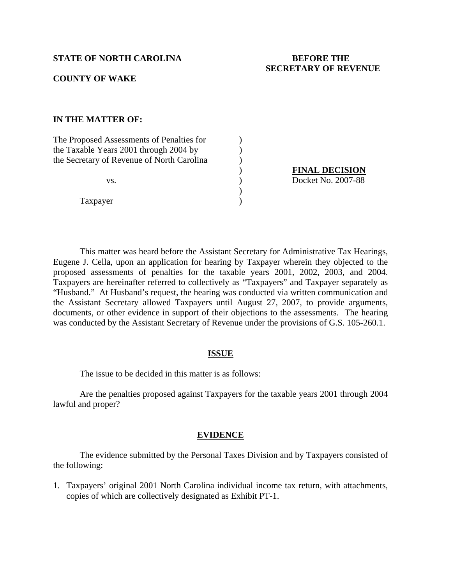# **STATE OF NORTH CAROLINA BEFORE THE**

# **SECRETARY OF REVENUE**

# **COUNTY OF WAKE**

## **IN THE MATTER OF:**

| The Proposed Assessments of Penalties for  |  |
|--------------------------------------------|--|
| the Taxable Years 2001 through 2004 by     |  |
| the Secretary of Revenue of North Carolina |  |
| VS.                                        |  |
|                                            |  |
|                                            |  |

Taxpayer )

)<br> **FINAL DECISION**<br>
Docket No. 2007-88<br>
) Docket No. 2007-88

This matter was heard before the Assistant Secretary for Administrative Tax Hearings, Eugene J. Cella, upon an application for hearing by Taxpayer wherein they objected to the proposed assessments of penalties for the taxable years 2001, 2002, 2003, and 2004. Taxpayers are hereinafter referred to collectively as "Taxpayers" and Taxpayer separately as "Husband." At Husband's request, the hearing was conducted via written communication and the Assistant Secretary allowed Taxpayers until August 27, 2007, to provide arguments, documents, or other evidence in support of their objections to the assessments. The hearing was conducted by the Assistant Secretary of Revenue under the provisions of G.S. 105-260.1.

#### **ISSUE**

The issue to be decided in this matter is as follows:

 Are the penalties proposed against Taxpayers for the taxable years 2001 through 2004 lawful and proper?

#### **EVIDENCE**

 The evidence submitted by the Personal Taxes Division and by Taxpayers consisted of the following:

1. Taxpayers' original 2001 North Carolina individual income tax return, with attachments, copies of which are collectively designated as Exhibit PT-1.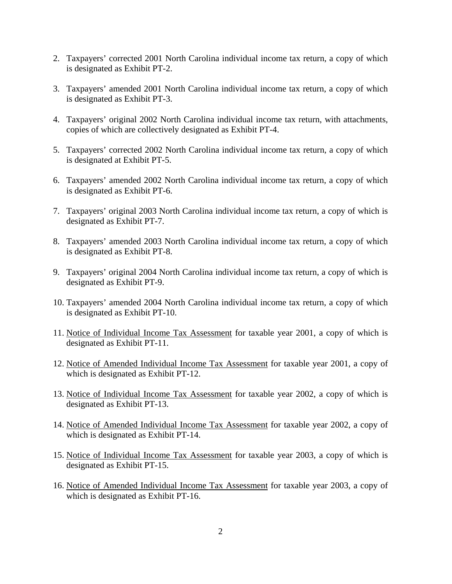- 2. Taxpayers' corrected 2001 North Carolina individual income tax return, a copy of which is designated as Exhibit PT-2.
- 3. Taxpayers' amended 2001 North Carolina individual income tax return, a copy of which is designated as Exhibit PT-3.
- 4. Taxpayers' original 2002 North Carolina individual income tax return, with attachments, copies of which are collectively designated as Exhibit PT-4.
- 5. Taxpayers' corrected 2002 North Carolina individual income tax return, a copy of which is designated at Exhibit PT-5.
- 6. Taxpayers' amended 2002 North Carolina individual income tax return, a copy of which is designated as Exhibit PT-6.
- 7. Taxpayers' original 2003 North Carolina individual income tax return, a copy of which is designated as Exhibit PT-7.
- 8. Taxpayers' amended 2003 North Carolina individual income tax return, a copy of which is designated as Exhibit PT-8.
- 9. Taxpayers' original 2004 North Carolina individual income tax return, a copy of which is designated as Exhibit PT-9.
- 10. Taxpayers' amended 2004 North Carolina individual income tax return, a copy of which is designated as Exhibit PT-10.
- 11. Notice of Individual Income Tax Assessment for taxable year 2001, a copy of which is designated as Exhibit PT-11.
- 12. Notice of Amended Individual Income Tax Assessment for taxable year 2001, a copy of which is designated as Exhibit PT-12.
- 13. Notice of Individual Income Tax Assessment for taxable year 2002, a copy of which is designated as Exhibit PT-13.
- 14. Notice of Amended Individual Income Tax Assessment for taxable year 2002, a copy of which is designated as Exhibit PT-14.
- 15. Notice of Individual Income Tax Assessment for taxable year 2003, a copy of which is designated as Exhibit PT-15.
- 16. Notice of Amended Individual Income Tax Assessment for taxable year 2003, a copy of which is designated as Exhibit PT-16.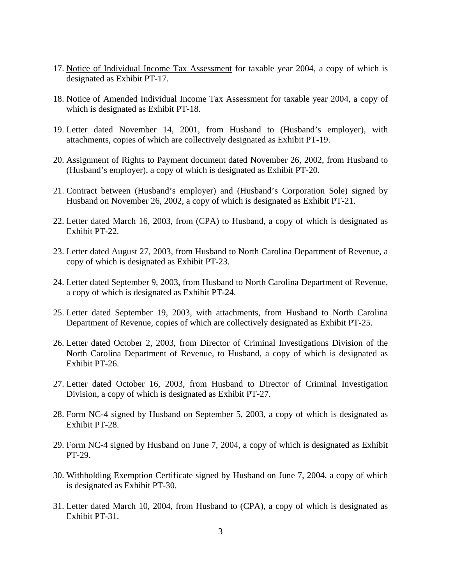- 17. Notice of Individual Income Tax Assessment for taxable year 2004, a copy of which is designated as Exhibit PT-17.
- 18. Notice of Amended Individual Income Tax Assessment for taxable year 2004, a copy of which is designated as Exhibit PT-18.
- 19. Letter dated November 14, 2001, from Husband to (Husband's employer), with attachments, copies of which are collectively designated as Exhibit PT-19.
- 20. Assignment of Rights to Payment document dated November 26, 2002, from Husband to (Husband's employer), a copy of which is designated as Exhibit PT-20.
- 21. Contract between (Husband's employer) and (Husband's Corporation Sole) signed by Husband on November 26, 2002, a copy of which is designated as Exhibit PT-21.
- 22. Letter dated March 16, 2003, from (CPA) to Husband, a copy of which is designated as Exhibit PT-22.
- 23. Letter dated August 27, 2003, from Husband to North Carolina Department of Revenue, a copy of which is designated as Exhibit PT-23.
- 24. Letter dated September 9, 2003, from Husband to North Carolina Department of Revenue, a copy of which is designated as Exhibit PT-24.
- 25. Letter dated September 19, 2003, with attachments, from Husband to North Carolina Department of Revenue, copies of which are collectively designated as Exhibit PT-25.
- 26. Letter dated October 2, 2003, from Director of Criminal Investigations Division of the North Carolina Department of Revenue, to Husband, a copy of which is designated as Exhibit PT-26.
- 27. Letter dated October 16, 2003, from Husband to Director of Criminal Investigation Division, a copy of which is designated as Exhibit PT-27.
- 28. Form NC-4 signed by Husband on September 5, 2003, a copy of which is designated as Exhibit PT-28.
- 29. Form NC-4 signed by Husband on June 7, 2004, a copy of which is designated as Exhibit PT-29.
- 30. Withholding Exemption Certificate signed by Husband on June 7, 2004, a copy of which is designated as Exhibit PT-30.
- 31. Letter dated March 10, 2004, from Husband to (CPA), a copy of which is designated as Exhibit PT-31.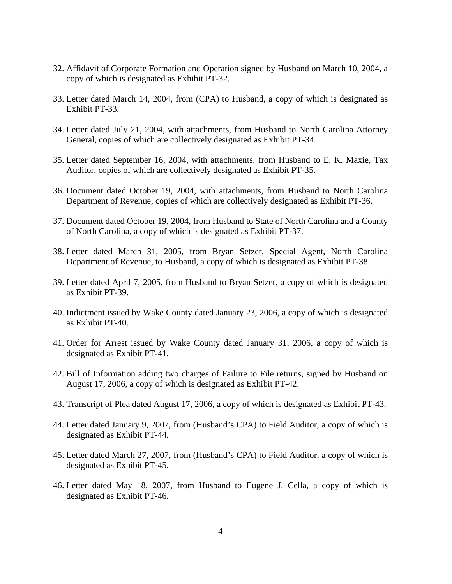- 32. Affidavit of Corporate Formation and Operation signed by Husband on March 10, 2004, a copy of which is designated as Exhibit PT-32.
- 33. Letter dated March 14, 2004, from (CPA) to Husband, a copy of which is designated as Exhibit PT-33.
- 34. Letter dated July 21, 2004, with attachments, from Husband to North Carolina Attorney General, copies of which are collectively designated as Exhibit PT-34.
- 35. Letter dated September 16, 2004, with attachments, from Husband to E. K. Maxie, Tax Auditor, copies of which are collectively designated as Exhibit PT-35.
- 36. Document dated October 19, 2004, with attachments, from Husband to North Carolina Department of Revenue, copies of which are collectively designated as Exhibit PT-36.
- 37. Document dated October 19, 2004, from Husband to State of North Carolina and a County of North Carolina, a copy of which is designated as Exhibit PT-37.
- 38. Letter dated March 31, 2005, from Bryan Setzer, Special Agent, North Carolina Department of Revenue, to Husband, a copy of which is designated as Exhibit PT-38.
- 39. Letter dated April 7, 2005, from Husband to Bryan Setzer, a copy of which is designated as Exhibit PT-39.
- 40. Indictment issued by Wake County dated January 23, 2006, a copy of which is designated as Exhibit PT-40.
- 41. Order for Arrest issued by Wake County dated January 31, 2006, a copy of which is designated as Exhibit PT-41.
- 42. Bill of Information adding two charges of Failure to File returns, signed by Husband on August 17, 2006, a copy of which is designated as Exhibit PT-42.
- 43. Transcript of Plea dated August 17, 2006, a copy of which is designated as Exhibit PT-43.
- 44. Letter dated January 9, 2007, from (Husband's CPA) to Field Auditor, a copy of which is designated as Exhibit PT-44.
- 45. Letter dated March 27, 2007, from (Husband's CPA) to Field Auditor, a copy of which is designated as Exhibit PT-45.
- 46. Letter dated May 18, 2007, from Husband to Eugene J. Cella, a copy of which is designated as Exhibit PT-46.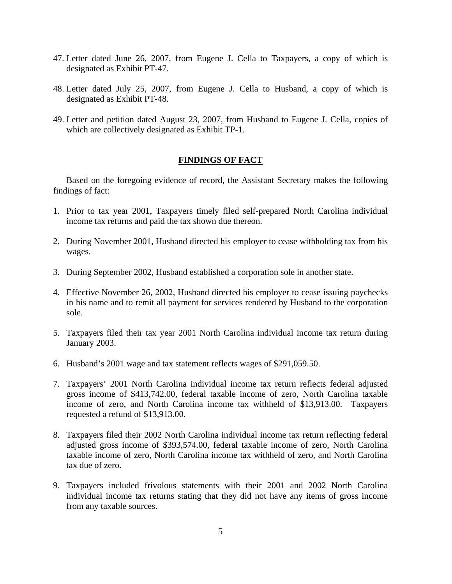- 47. Letter dated June 26, 2007, from Eugene J. Cella to Taxpayers, a copy of which is designated as Exhibit PT-47.
- 48. Letter dated July 25, 2007, from Eugene J. Cella to Husband, a copy of which is designated as Exhibit PT-48.
- 49. Letter and petition dated August 23, 2007, from Husband to Eugene J. Cella, copies of which are collectively designated as Exhibit TP-1.

## **FINDINGS OF FACT**

Based on the foregoing evidence of record, the Assistant Secretary makes the following findings of fact:

- 1. Prior to tax year 2001, Taxpayers timely filed self-prepared North Carolina individual income tax returns and paid the tax shown due thereon.
- 2. During November 2001, Husband directed his employer to cease withholding tax from his wages.
- 3. During September 2002, Husband established a corporation sole in another state.
- 4. Effective November 26, 2002, Husband directed his employer to cease issuing paychecks in his name and to remit all payment for services rendered by Husband to the corporation sole.
- 5. Taxpayers filed their tax year 2001 North Carolina individual income tax return during January 2003.
- 6. Husband's 2001 wage and tax statement reflects wages of \$291,059.50.
- 7. Taxpayers' 2001 North Carolina individual income tax return reflects federal adjusted gross income of \$413,742.00, federal taxable income of zero, North Carolina taxable income of zero, and North Carolina income tax withheld of \$13,913.00. Taxpayers requested a refund of \$13,913.00.
- 8. Taxpayers filed their 2002 North Carolina individual income tax return reflecting federal adjusted gross income of \$393,574.00, federal taxable income of zero, North Carolina taxable income of zero, North Carolina income tax withheld of zero, and North Carolina tax due of zero.
- 9. Taxpayers included frivolous statements with their 2001 and 2002 North Carolina individual income tax returns stating that they did not have any items of gross income from any taxable sources.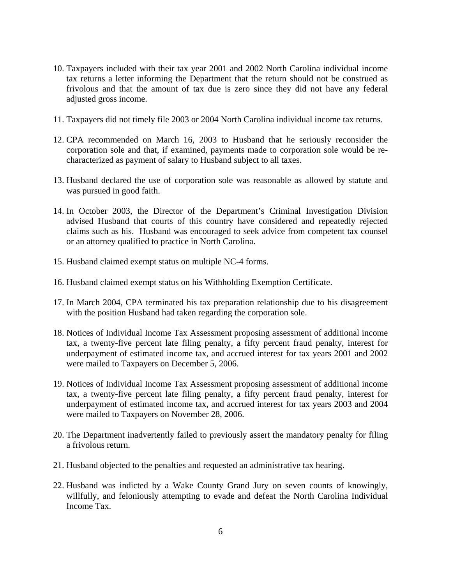- 10. Taxpayers included with their tax year 2001 and 2002 North Carolina individual income tax returns a letter informing the Department that the return should not be construed as frivolous and that the amount of tax due is zero since they did not have any federal adjusted gross income.
- 11. Taxpayers did not timely file 2003 or 2004 North Carolina individual income tax returns.
- 12. CPA recommended on March 16, 2003 to Husband that he seriously reconsider the corporation sole and that, if examined, payments made to corporation sole would be recharacterized as payment of salary to Husband subject to all taxes.
- 13. Husband declared the use of corporation sole was reasonable as allowed by statute and was pursued in good faith.
- 14. In October 2003, the Director of the Department's Criminal Investigation Division advised Husband that courts of this country have considered and repeatedly rejected claims such as his. Husband was encouraged to seek advice from competent tax counsel or an attorney qualified to practice in North Carolina.
- 15. Husband claimed exempt status on multiple NC-4 forms.
- 16. Husband claimed exempt status on his Withholding Exemption Certificate.
- 17. In March 2004, CPA terminated his tax preparation relationship due to his disagreement with the position Husband had taken regarding the corporation sole.
- 18. Notices of Individual Income Tax Assessment proposing assessment of additional income tax, a twenty-five percent late filing penalty, a fifty percent fraud penalty, interest for underpayment of estimated income tax, and accrued interest for tax years 2001 and 2002 were mailed to Taxpayers on December 5, 2006.
- 19. Notices of Individual Income Tax Assessment proposing assessment of additional income tax, a twenty-five percent late filing penalty, a fifty percent fraud penalty, interest for underpayment of estimated income tax, and accrued interest for tax years 2003 and 2004 were mailed to Taxpayers on November 28, 2006.
- 20. The Department inadvertently failed to previously assert the mandatory penalty for filing a frivolous return.
- 21. Husband objected to the penalties and requested an administrative tax hearing.
- 22. Husband was indicted by a Wake County Grand Jury on seven counts of knowingly, willfully, and feloniously attempting to evade and defeat the North Carolina Individual Income Tax.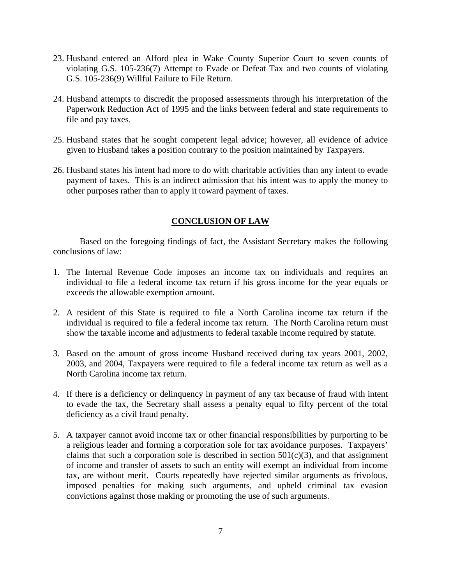- 23. Husband entered an Alford plea in Wake County Superior Court to seven counts of violating G.S. 105-236(7) Attempt to Evade or Defeat Tax and two counts of violating G.S. 105-236(9) Willful Failure to File Return.
- 24. Husband attempts to discredit the proposed assessments through his interpretation of the Paperwork Reduction Act of 1995 and the links between federal and state requirements to file and pay taxes.
- 25. Husband states that he sought competent legal advice; however, all evidence of advice given to Husband takes a position contrary to the position maintained by Taxpayers.
- 26. Husband states his intent had more to do with charitable activities than any intent to evade payment of taxes. This is an indirect admission that his intent was to apply the money to other purposes rather than to apply it toward payment of taxes.

# **CONCLUSION OF LAW**

 Based on the foregoing findings of fact, the Assistant Secretary makes the following conclusions of law:

- 1. The Internal Revenue Code imposes an income tax on individuals and requires an individual to file a federal income tax return if his gross income for the year equals or exceeds the allowable exemption amount.
- 2. A resident of this State is required to file a North Carolina income tax return if the individual is required to file a federal income tax return. The North Carolina return must show the taxable income and adjustments to federal taxable income required by statute.
- 3. Based on the amount of gross income Husband received during tax years 2001, 2002, 2003, and 2004, Taxpayers were required to file a federal income tax return as well as a North Carolina income tax return.
- 4. If there is a deficiency or delinquency in payment of any tax because of fraud with intent to evade the tax, the Secretary shall assess a penalty equal to fifty percent of the total deficiency as a civil fraud penalty.
- 5. A taxpayer cannot avoid income tax or other financial responsibilities by purporting to be a religious leader and forming a corporation sole for tax avoidance purposes. Taxpayers' claims that such a corporation sole is described in section  $501(c)(3)$ , and that assignment of income and transfer of assets to such an entity will exempt an individual from income tax, are without merit. Courts repeatedly have rejected similar arguments as frivolous, imposed penalties for making such arguments, and upheld criminal tax evasion convictions against those making or promoting the use of such arguments.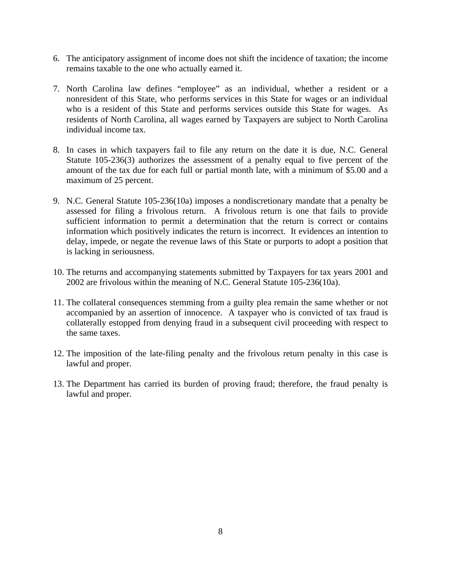- 6. The anticipatory assignment of income does not shift the incidence of taxation; the income remains taxable to the one who actually earned it.
- 7. North Carolina law defines "employee" as an individual, whether a resident or a nonresident of this State, who performs services in this State for wages or an individual who is a resident of this State and performs services outside this State for wages. As residents of North Carolina, all wages earned by Taxpayers are subject to North Carolina individual income tax.
- 8. In cases in which taxpayers fail to file any return on the date it is due, N.C. General Statute 105-236(3) authorizes the assessment of a penalty equal to five percent of the amount of the tax due for each full or partial month late, with a minimum of \$5.00 and a maximum of 25 percent.
- 9. N.C. General Statute 105-236(10a) imposes a nondiscretionary mandate that a penalty be assessed for filing a frivolous return. A frivolous return is one that fails to provide sufficient information to permit a determination that the return is correct or contains information which positively indicates the return is incorrect. It evidences an intention to delay, impede, or negate the revenue laws of this State or purports to adopt a position that is lacking in seriousness.
- 10. The returns and accompanying statements submitted by Taxpayers for tax years 2001 and 2002 are frivolous within the meaning of N.C. General Statute 105-236(10a).
- 11. The collateral consequences stemming from a guilty plea remain the same whether or not accompanied by an assertion of innocence. A taxpayer who is convicted of tax fraud is collaterally estopped from denying fraud in a subsequent civil proceeding with respect to the same taxes.
- 12. The imposition of the late-filing penalty and the frivolous return penalty in this case is lawful and proper.
- 13. The Department has carried its burden of proving fraud; therefore, the fraud penalty is lawful and proper.